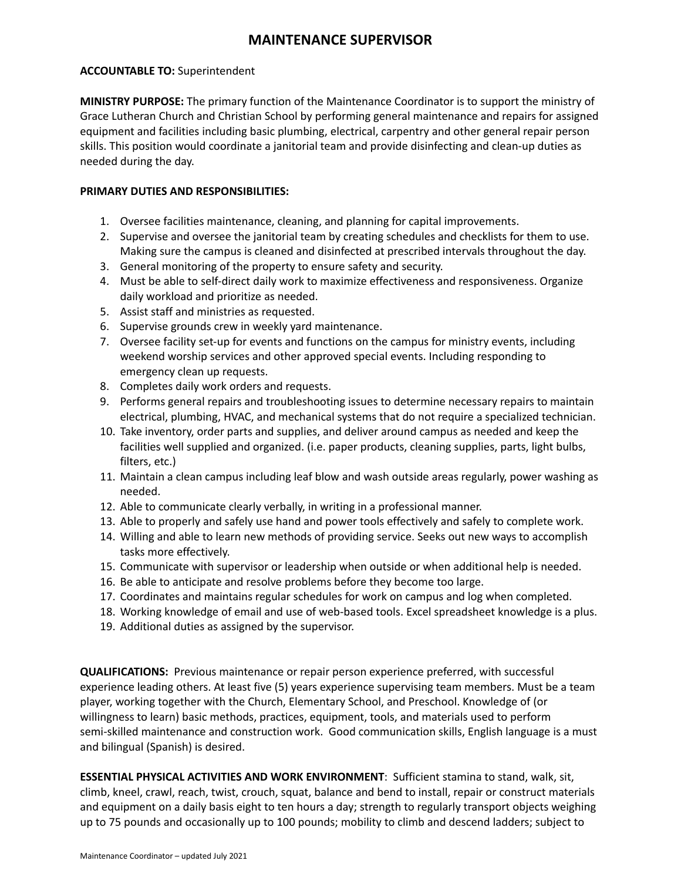## **MAINTENANCE SUPERVISOR**

## **ACCOUNTABLE TO:** Superintendent

**MINISTRY PURPOSE:** The primary function of the Maintenance Coordinator is to support the ministry of Grace Lutheran Church and Christian School by performing general maintenance and repairs for assigned equipment and facilities including basic plumbing, electrical, carpentry and other general repair person skills. This position would coordinate a janitorial team and provide disinfecting and clean-up duties as needed during the day.

## **PRIMARY DUTIES AND RESPONSIBILITIES:**

- 1. Oversee facilities maintenance, cleaning, and planning for capital improvements.
- 2. Supervise and oversee the janitorial team by creating schedules and checklists for them to use. Making sure the campus is cleaned and disinfected at prescribed intervals throughout the day.
- 3. General monitoring of the property to ensure safety and security.
- 4. Must be able to self-direct daily work to maximize effectiveness and responsiveness. Organize daily workload and prioritize as needed.
- 5. Assist staff and ministries as requested.
- 6. Supervise grounds crew in weekly yard maintenance.
- 7. Oversee facility set-up for events and functions on the campus for ministry events, including weekend worship services and other approved special events. Including responding to emergency clean up requests.
- 8. Completes daily work orders and requests.
- 9. Performs general repairs and troubleshooting issues to determine necessary repairs to maintain electrical, plumbing, HVAC, and mechanical systems that do not require a specialized technician.
- 10. Take inventory, order parts and supplies, and deliver around campus as needed and keep the facilities well supplied and organized. (i.e. paper products, cleaning supplies, parts, light bulbs, filters, etc.)
- 11. Maintain a clean campus including leaf blow and wash outside areas regularly, power washing as needed.
- 12. Able to communicate clearly verbally, in writing in a professional manner.
- 13. Able to properly and safely use hand and power tools effectively and safely to complete work.
- 14. Willing and able to learn new methods of providing service. Seeks out new ways to accomplish tasks more effectively.
- 15. Communicate with supervisor or leadership when outside or when additional help is needed.
- 16. Be able to anticipate and resolve problems before they become too large.
- 17. Coordinates and maintains regular schedules for work on campus and log when completed.
- 18. Working knowledge of email and use of web-based tools. Excel spreadsheet knowledge is a plus.
- 19. Additional duties as assigned by the supervisor.

**QUALIFICATIONS:** Previous maintenance or repair person experience preferred, with successful experience leading others. At least five (5) years experience supervising team members. Must be a team player, working together with the Church, Elementary School, and Preschool. Knowledge of (or willingness to learn) basic methods, practices, equipment, tools, and materials used to perform semi-skilled maintenance and construction work. Good communication skills, English language is a must and bilingual (Spanish) is desired.

**ESSENTIAL PHYSICAL ACTIVITIES AND WORK ENVIRONMENT**: Sufficient stamina to stand, walk, sit, climb, kneel, crawl, reach, twist, crouch, squat, balance and bend to install, repair or construct materials and equipment on a daily basis eight to ten hours a day; strength to regularly transport objects weighing up to 75 pounds and occasionally up to 100 pounds; mobility to climb and descend ladders; subject to